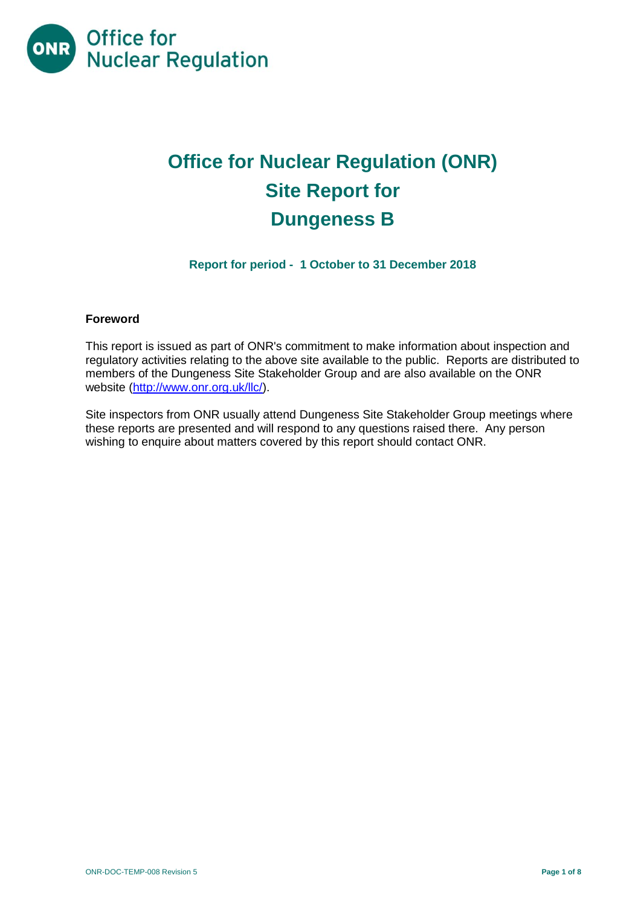

# **Office for Nuclear Regulation (ONR) Site Report for Dungeness B**

**Report for period - 1 October to 31 December 2018**

# **Foreword**

This report is issued as part of ONR's commitment to make information about inspection and regulatory activities relating to the above site available to the public. Reports are distributed to members of the Dungeness Site Stakeholder Group and are also available on the ONR website [\(http://www.onr.org.uk/llc/\)](http://www.onr.org.uk/llc/).

Site inspectors from ONR usually attend Dungeness Site Stakeholder Group meetings where these reports are presented and will respond to any questions raised there. Any person wishing to enquire about matters covered by this report should contact ONR.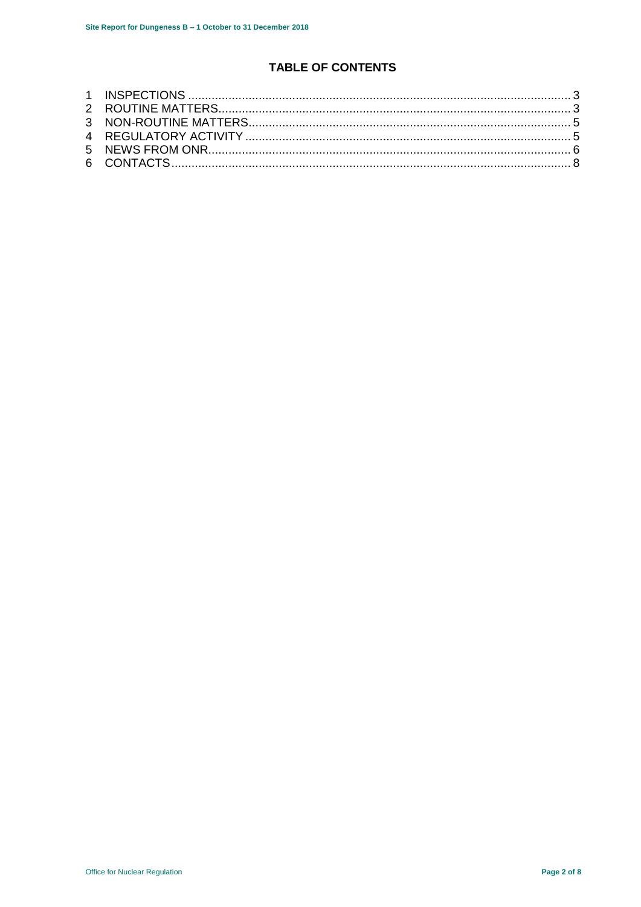# **TABLE OF CONTENTS**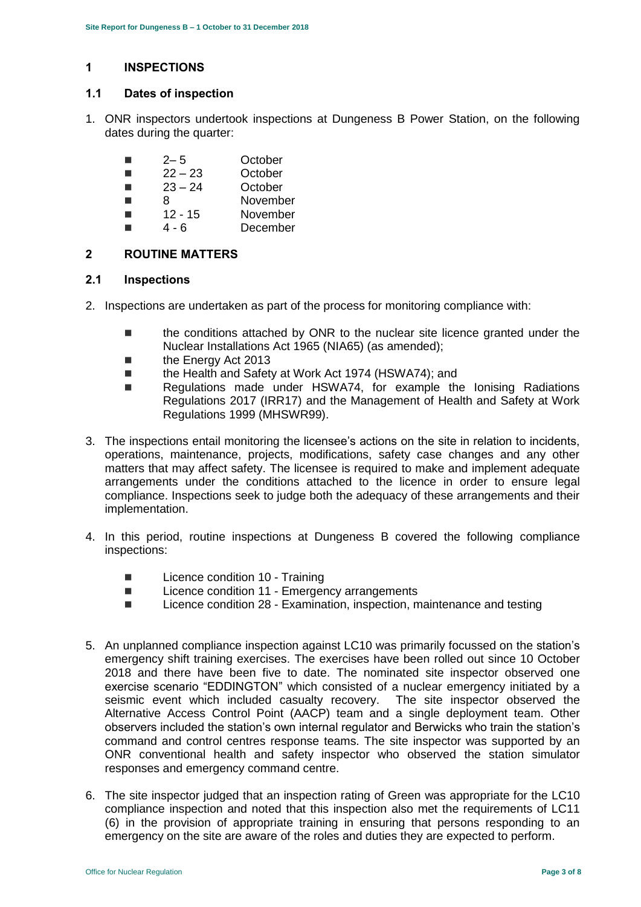# <span id="page-2-0"></span>**1 INSPECTIONS**

# **1.1 Dates of inspection**

1. ONR inspectors undertook inspections at Dungeness B Power Station, on the following dates during the quarter:

| п | $2 - 5$   | October  |
|---|-----------|----------|
| ш | $22 - 23$ | October  |
| ш | $23 - 24$ | October  |
| ш | 8         | November |
| ▅ | $12 - 15$ | November |
|   | 4 - 6     | December |

# <span id="page-2-1"></span>**2 ROUTINE MATTERS**

# **2.1 Inspections**

- 2. Inspections are undertaken as part of the process for monitoring compliance with:
	- the conditions attached by ONR to the nuclear site licence granted under the Nuclear Installations Act 1965 (NIA65) (as amended);
	- **the Energy Act 2013**
	- the Health and Safety at Work Act 1974 (HSWA74); and
	- Regulations made under HSWA74, for example the Ionising Radiations Regulations 2017 (IRR17) and the Management of Health and Safety at Work Regulations 1999 (MHSWR99).
- 3. The inspections entail monitoring the licensee's actions on the site in relation to incidents, operations, maintenance, projects, modifications, safety case changes and any other matters that may affect safety. The licensee is required to make and implement adequate arrangements under the conditions attached to the licence in order to ensure legal compliance. Inspections seek to judge both the adequacy of these arrangements and their implementation.
- 4. In this period, routine inspections at Dungeness B covered the following compliance inspections:
	- Licence condition 10 Training
	- Licence condition 11 Emergency arrangements
	- Licence condition 28 Examination, inspection, maintenance and testing
- 5. An unplanned compliance inspection against LC10 was primarily focussed on the station's emergency shift training exercises. The exercises have been rolled out since 10 October 2018 and there have been five to date. The nominated site inspector observed one exercise scenario "EDDINGTON" which consisted of a nuclear emergency initiated by a seismic event which included casualty recovery. The site inspector observed the Alternative Access Control Point (AACP) team and a single deployment team. Other observers included the station's own internal regulator and Berwicks who train the station's command and control centres response teams. The site inspector was supported by an ONR conventional health and safety inspector who observed the station simulator responses and emergency command centre.
- 6. The site inspector judged that an inspection rating of Green was appropriate for the LC10 compliance inspection and noted that this inspection also met the requirements of LC11 (6) in the provision of appropriate training in ensuring that persons responding to an emergency on the site are aware of the roles and duties they are expected to perform.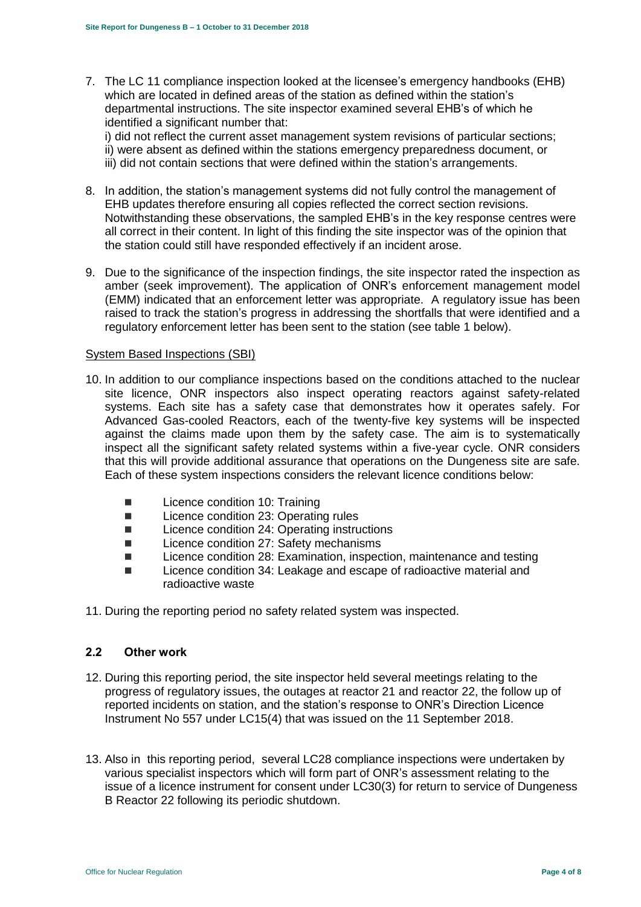7. The LC 11 compliance inspection looked at the licensee's emergency handbooks (EHB) which are located in defined areas of the station as defined within the station's departmental instructions. The site inspector examined several EHB's of which he identified a significant number that:

i) did not reflect the current asset management system revisions of particular sections; ii) were absent as defined within the stations emergency preparedness document, or iii) did not contain sections that were defined within the station's arrangements.

- 8. In addition, the station's management systems did not fully control the management of EHB updates therefore ensuring all copies reflected the correct section revisions. Notwithstanding these observations, the sampled EHB's in the key response centres were all correct in their content. In light of this finding the site inspector was of the opinion that the station could still have responded effectively if an incident arose.
- 9. Due to the significance of the inspection findings, the site inspector rated the inspection as amber (seek improvement). The application of ONR's enforcement management model (EMM) indicated that an enforcement letter was appropriate. A regulatory issue has been raised to track the station's progress in addressing the shortfalls that were identified and a regulatory enforcement letter has been sent to the station (see table 1 below).

### System Based Inspections (SBI)

- 10. In addition to our compliance inspections based on the conditions attached to the nuclear site licence, ONR inspectors also inspect operating reactors against safety-related systems. Each site has a safety case that demonstrates how it operates safely. For Advanced Gas-cooled Reactors, each of the twenty-five key systems will be inspected against the claims made upon them by the safety case. The aim is to systematically inspect all the significant safety related systems within a five-year cycle. ONR considers that this will provide additional assurance that operations on the Dungeness site are safe. Each of these system inspections considers the relevant licence conditions below:
	- **Licence condition 10: Training**
	- Licence condition 23: Operating rules
	- Licence condition 24: Operating instructions
	- Licence condition 27: Safety mechanisms
	- Licence condition 28: Examination, inspection, maintenance and testing
	- Licence condition 34: Leakage and escape of radioactive material and radioactive waste
- 11. During the reporting period no safety related system was inspected.

### **2.2 Other work**

- 12. During this reporting period, the site inspector held several meetings relating to the progress of regulatory issues, the outages at reactor 21 and reactor 22, the follow up of reported incidents on station, and the station's response to ONR's Direction Licence Instrument No 557 under LC15(4) that was issued on the 11 September 2018.
- 13. Also in this reporting period, several LC28 compliance inspections were undertaken by various specialist inspectors which will form part of ONR's assessment relating to the issue of a licence instrument for consent under LC30(3) for return to service of Dungeness B Reactor 22 following its periodic shutdown.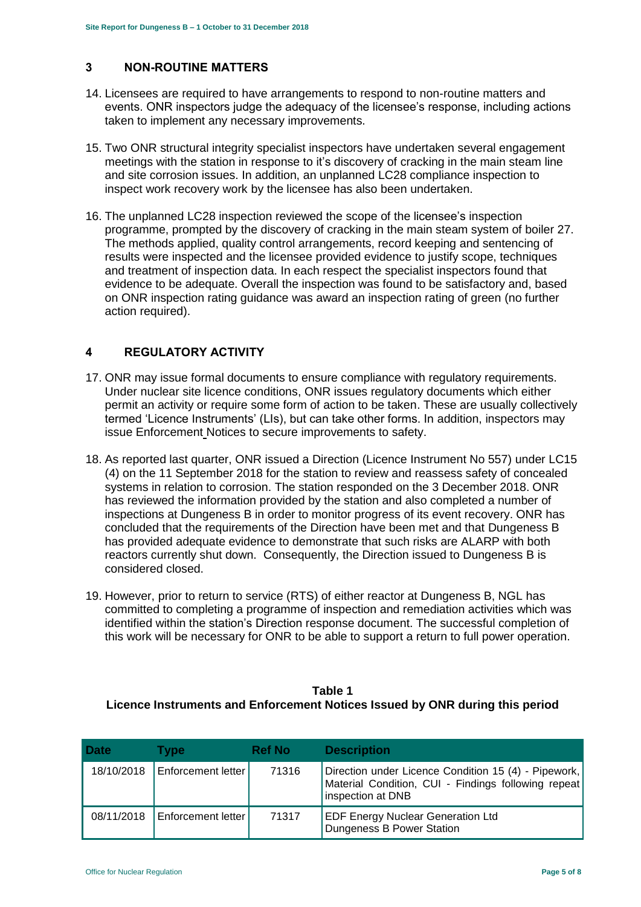# <span id="page-4-0"></span>**3 NON-ROUTINE MATTERS**

- 14. Licensees are required to have arrangements to respond to non-routine matters and events. ONR inspectors judge the adequacy of the licensee's response, including actions taken to implement any necessary improvements.
- 15. Two ONR structural integrity specialist inspectors have undertaken several engagement meetings with the station in response to it's discovery of cracking in the main steam line and site corrosion issues. In addition, an unplanned LC28 compliance inspection to inspect work recovery work by the licensee has also been undertaken.
- 16. The unplanned LC28 inspection reviewed the scope of the licensee's inspection programme, prompted by the discovery of cracking in the main steam system of boiler 27. The methods applied, quality control arrangements, record keeping and sentencing of results were inspected and the licensee provided evidence to justify scope, techniques and treatment of inspection data. In each respect the specialist inspectors found that evidence to be adequate. Overall the inspection was found to be satisfactory and, based on ONR inspection rating guidance was award an inspection rating of green (no further action required).

# <span id="page-4-1"></span>**4 REGULATORY ACTIVITY**

- 17. ONR may issue formal documents to ensure compliance with regulatory requirements. Under nuclear site licence conditions, ONR issues regulatory documents which either permit an activity or require some form of action to be taken. These are usually collectively termed 'Licence Instruments' (LIs), but can take other forms. In addition, inspectors may issue Enforcement Notices to secure improvements to safety.
- 18. As reported last quarter, ONR issued a Direction (Licence Instrument No 557) under LC15 (4) on the 11 September 2018 for the station to review and reassess safety of concealed systems in relation to corrosion. The station responded on the 3 December 2018. ONR has reviewed the information provided by the station and also completed a number of inspections at Dungeness B in order to monitor progress of its event recovery. ONR has concluded that the requirements of the Direction have been met and that Dungeness B has provided adequate evidence to demonstrate that such risks are ALARP with both reactors currently shut down. Consequently, the Direction issued to Dungeness B is considered closed.
- 19. However, prior to return to service (RTS) of either reactor at Dungeness B, NGL has committed to completing a programme of inspection and remediation activities which was identified within the station's Direction response document. The successful completion of this work will be necessary for ONR to be able to support a return to full power operation.

# **Table 1 Licence Instruments and Enforcement Notices Issued by ONR during this period**

| <b>Date</b> | Tvpe                      | <b>Ref No</b> | <b>Description</b>                                                                                                               |
|-------------|---------------------------|---------------|----------------------------------------------------------------------------------------------------------------------------------|
| 18/10/2018  | <b>Enforcement letter</b> | 71316         | Direction under Licence Condition 15 (4) - Pipework,<br>Material Condition, CUI - Findings following repeat<br>inspection at DNB |
| 08/11/2018  | <b>Enforcement letter</b> | 71317         | <b>EDF Energy Nuclear Generation Ltd</b><br>Dungeness B Power Station                                                            |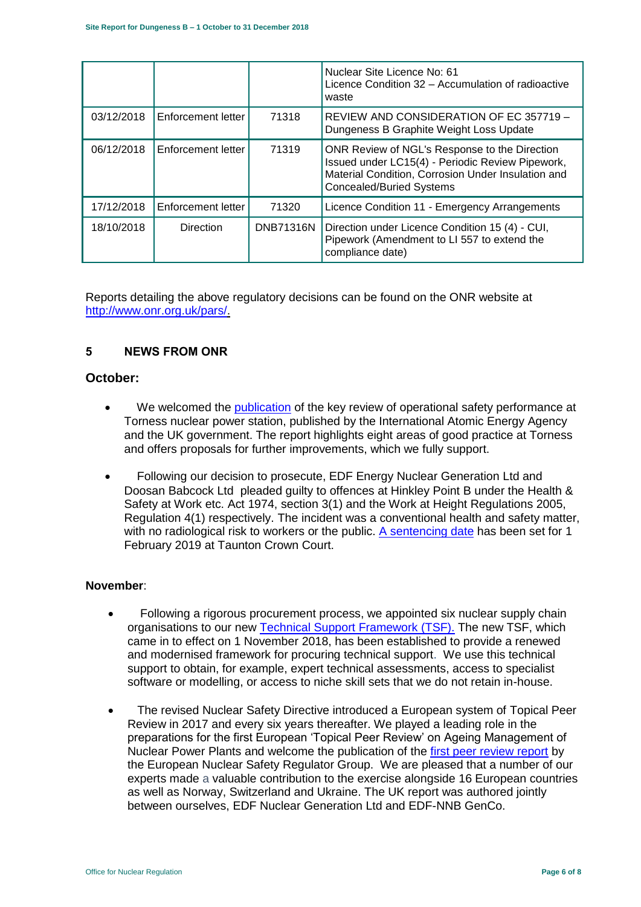|            |                    |                  | Nuclear Site Licence No: 61<br>Licence Condition 32 – Accumulation of radioactive<br>waste                                                                                                 |
|------------|--------------------|------------------|--------------------------------------------------------------------------------------------------------------------------------------------------------------------------------------------|
| 03/12/2018 | Enforcement letter | 71318            | REVIEW AND CONSIDERATION OF EC 357719 -<br>Dungeness B Graphite Weight Loss Update                                                                                                         |
| 06/12/2018 | Enforcement letter | 71319            | ONR Review of NGL's Response to the Direction<br>Issued under LC15(4) - Periodic Review Pipework,<br>Material Condition, Corrosion Under Insulation and<br><b>Concealed/Buried Systems</b> |
| 17/12/2018 | Enforcement letter | 71320            | Licence Condition 11 - Emergency Arrangements                                                                                                                                              |
| 18/10/2018 | <b>Direction</b>   | <b>DNB71316N</b> | Direction under Licence Condition 15 (4) - CUI,<br>Pipework (Amendment to LI 557 to extend the<br>compliance date)                                                                         |

Reports detailing the above regulatory decisions can be found on the ONR website at [http://www.onr.org.uk/pars/.](http://www.onr.org.uk/pars/)

# <span id="page-5-0"></span>**5 NEWS FROM ONR**

# **October:**

- We welcomed the [publication](http://news.onr.org.uk/2018/10/iaea-review-torness-power-station/) of the key review of operational safety performance at Torness nuclear power station, published by the International Atomic Energy Agency and the UK government. The report highlights eight areas of good practice at Torness and offers proposals for further improvements, which we fully support.
- Following our decision to prosecute, EDF Energy Nuclear Generation Ltd and Doosan Babcock Ltd pleaded guilty to offences at Hinkley Point B under the Health & Safety at Work etc. Act 1974, section 3(1) and the Work at Height Regulations 2005, Regulation 4(1) respectively. The incident was a conventional health and safety matter, with no radiological risk to workers or the public. [A sentencing date](http://news.onr.org.uk/2018/10/edf-and-doosan-babcock-plead-guilty/) has been set for 1 February 2019 at Taunton Crown Court.

# **November**:

- Following a rigorous procurement process, we appointed six nuclear supply chain organisations to our new [Technical Support Framework \(TSF\).](http://news.onr.org.uk/2018/11/new-technical-support-framework-announced/) The new TSF, which came in to effect on 1 November 2018, has been established to provide a renewed and modernised framework for procuring technical support. We use this technical support to obtain, for example, expert technical assessments, access to specialist software or modelling, or access to niche skill sets that we do not retain in-house.
- The revised Nuclear Safety Directive introduced a European system of Topical Peer Review in 2017 and every six years thereafter. We played a leading role in the preparations for the first European 'Topical Peer Review' on Ageing Management of Nuclear Power Plants and welcome the publication of the [first peer review report](http://news.onr.org.uk/2018/11/onr-welcomes-first-topical-peer-review/) by the European Nuclear Safety Regulator Group. We are pleased that a number of our experts made a valuable contribution to the exercise alongside 16 European countries as well as Norway, Switzerland and Ukraine. The UK report was authored jointly between ourselves, EDF Nuclear Generation Ltd and EDF-NNB GenCo.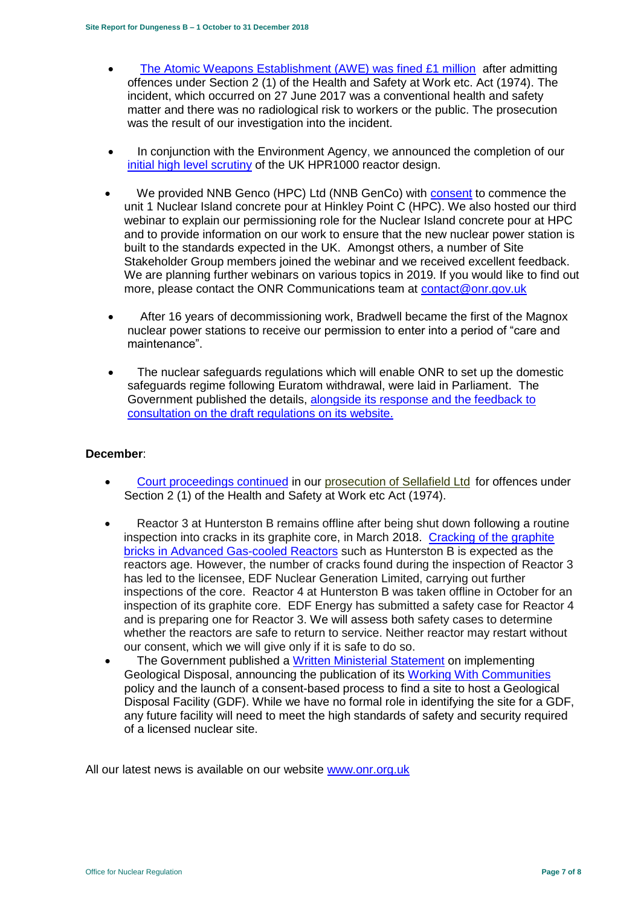- [The Atomic Weapons Establishment \(AWE\) was fined £1 million](http://news.onr.org.uk/2018/11/awe-prosecution-reaction/) after admitting offences under Section 2 (1) of the Health and Safety at Work etc. Act (1974). The incident, which occurred on 27 June 2017 was a conventional health and safety matter and there was no radiological risk to workers or the public. The prosecution was the result of our investigation into the incident.
- In conjunction with the Environment Agency, we announced the completion of our [initial high level scrutiny](http://news.onr.org.uk/2018/11/uk-hpr1000-completes-gda-step-2/) of the UK HPR1000 reactor design.
- We provided NNB Genco (HPC) Ltd (NNB GenCo) with [consent](http://news.onr.org.uk/2018/11/consent-for-hinkley-point-c-nuclear-island-concrete-pour/) to commence the unit 1 Nuclear Island concrete pour at Hinkley Point C (HPC). We also hosted our third webinar to explain our permissioning role for the Nuclear Island concrete pour at HPC and to provide information on our work to ensure that the new nuclear power station is built to the standards expected in the UK. Amongst others, a number of Site Stakeholder Group members joined the webinar and we received excellent feedback. We are planning further webinars on various topics in 2019. If you would like to find out more, please contact the ONR Communications team at [contact@onr.gov.uk](mailto:contact@onr.gov.uk)
- After 16 years of decommissioning work, Bradwell became the first of the Magnox nuclear power stations to receive our permission to enter into a period of "care and maintenance".
- The nuclear safeguards regulations which will enable ONR to set up the domestic safeguards regime following Euratom withdrawal, were laid in Parliament. The Government published the details, [alongside its response and the feedback to](https://www.gov.uk/government/consultations/nuclear-safeguards-regulations)  [consultation on the draft regulations on its website.](https://www.gov.uk/government/consultations/nuclear-safeguards-regulations)

# **December**:

- [Court proceedings continued](http://news.onr.org.uk/2018/12/prosecution-of-sellafield-ltd/) in our [prosecution of Sellafield Ltd](http://news.onr.org.uk/2018/07/update-prosecution-of-sellafield-ltd/) for offences under Section 2 (1) of the Health and Safety at Work etc Act (1974).
- Reactor 3 at Hunterston B remains offline after being shut down following a routine inspection into cracks in its graphite core, in March 2018. [Cracking of the graphite](http://www.onr.org.uk/civil-nuclear-reactors/graphite-core-of-agrs.htm)  [bricks in Advanced Gas-cooled Reactors](http://www.onr.org.uk/civil-nuclear-reactors/graphite-core-of-agrs.htm) such as Hunterston B is expected as the reactors age. However, the number of cracks found during the inspection of Reactor 3 has led to the licensee, EDF Nuclear Generation Limited, carrying out further inspections of the core. Reactor 4 at Hunterston B was taken offline in October for an inspection of its graphite core. EDF Energy has submitted a safety case for Reactor 4 and is preparing one for Reactor 3. We will assess both safety cases to determine whether the reactors are safe to return to service. Neither reactor may restart without our consent, which we will give only if it is safe to do so.
- The Government published a [Written Ministerial Statement](https://www.parliament.uk/business/publications/written-questions-answers-statements/written-statement/Commons/2018-12-19/HCWS1217/) on implementing Geological Disposal, announcing the publication of its [Working With Communities](https://www.gov.uk/government/publications/implementing-geological-disposal-working-with-communities-long-term-management-of-higher-activity-radioactive-waste) policy and the launch of a consent-based process to find a site to host a Geological Disposal Facility (GDF). While we have no formal role in identifying the site for a GDF, any future facility will need to meet the high standards of safety and security required of a licensed nuclear site.

All our latest news is available on our website [www.onr.org.uk](http://www.onr.org.uk/)